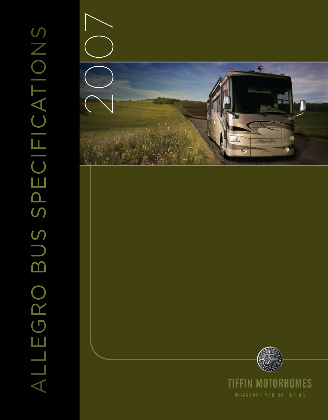

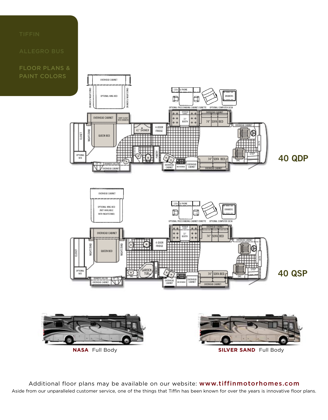FLOOR PLANS & PAINT COLORS



Aside from our unparalleled customer service, one of the things that Tiffin has been known for over the years is innovative floor plans. Additional floor plans may be available on our website: www.tiffinmotorhomes.com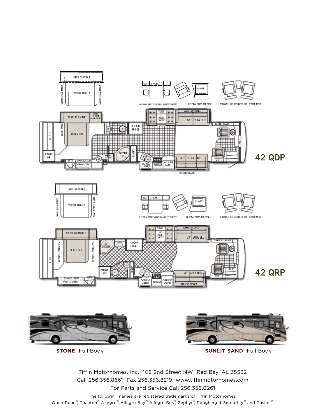

Tiffin Motorhomes, Inc. 105 2nd Street NW Red Bay, AL 35582 Call 256.356.8661 Fax 256.356.8219 www.tiffinmotorhomes.com For Parts and Service Call 256.356.0261

The following names are registered trademarks of Tiffin Motorhomes: Open Road®, Phaeton®, Allegro®, Allegro Bay®, Allegro Bus®, Zephyr®, Roughing It Smoothly®, and Pusher®.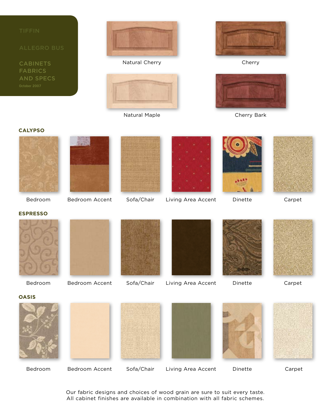

**CABINETS** FABRICS



Natural Cherry **Cherry** Cherry



Natural Maple **Cherry Bark** 





# **Calypso**











**espresso**







Bedroom Bedroom Accent Sofa/Chair Living Area Accent Dinette Carpet





Our fabric designs and choices of wood grain are sure to suit every taste. All cabinet finishes are available in combination with all fabric schemes.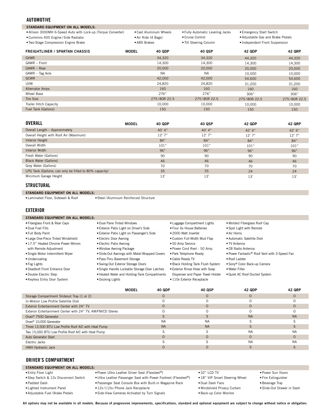### **AUTOMOTIVE**

| <b>STANDARD EQUIPMENT ON ALL MODELS:</b>                                                              |              |                                               |                                                      |                                                               |               |
|-------------------------------------------------------------------------------------------------------|--------------|-----------------------------------------------|------------------------------------------------------|---------------------------------------------------------------|---------------|
| • Allison 3000MH 6-Speed Auto with Lock-up (Torque Converter)<br>• Cummins 400 Engine / Side Radiator |              | • Cast Aluminum Wheels<br>• Air Ride (4 Bags) | • Fully Automatic Leveling Jacks<br>• Cruise Control | • Emergency Start Switch<br>. Adjustable Gas and Brake Pedals |               |
| . Two-Stage Compression Engine Brake                                                                  | • ABS Brakes |                                               | • Tilt Steering Column                               | • Independent Front Suspension                                |               |
| <b>FREIGHTLINER / SPARTAN CHASSIS</b>                                                                 | <b>MODEL</b> | 40 QDP                                        | 40 QSP                                               | <b>42 QDP</b>                                                 | <b>42 QRP</b> |
| <b>GVWR</b>                                                                                           |              | 34,320                                        | 34,320                                               | 44,320                                                        | 44,320        |
| GAWR - Front                                                                                          |              | 14.300                                        | 14.300                                               | 14.300                                                        | 14,300        |
| GAWR - Rear                                                                                           |              | 20,000                                        | 20,000                                               | 20,000                                                        | 20,000        |
| GAWR - Tag Axle                                                                                       |              | <b>NA</b>                                     | <b>NA</b>                                            | 10.000                                                        | 10,000        |
| <b>GCWR</b>                                                                                           |              | 42,000                                        | 42,000                                               | 54,600                                                        | 54,600        |
| <b>UVW</b>                                                                                            |              | 24,820                                        | 24,820                                               | 31.200                                                        | 31,200        |
| <b>Alternator Amps</b>                                                                                |              | 160                                           | 160                                                  | 160                                                           | 160           |
| Wheel Base                                                                                            |              | 276"                                          | 276"                                                 | 306"                                                          | 306"          |

| <b>WILCO DUSC</b>      | $\sim$ $\prime$ | $\sim$ $\prime$ | JUU          | JUU          |
|------------------------|-----------------|-----------------|--------------|--------------|
| Tire Size              | 275/80R 22.5    | 275/80R 22.5    | 275/80R 22.5 | 275/80R 22.5 |
| Trailer Hitch Capacity | 10.000          | 0.000           | 10.000       | 10.000       |
| Fuel Tank (Gallons)    | 15C             | 150             | 150          | 150          |
|                        |                 |                 |              |              |

| OVERALL                                                | <b>MODEL</b> | 40 QDP   | 40 QSP | 42 QDP  | <b>42 QRP</b> |
|--------------------------------------------------------|--------------|----------|--------|---------|---------------|
| Overall Length - Approximately                         |              | $40'$ 4" | 40' 4" | 42' 6'' | 42' 6''       |
| Overall Height with Roof Air (Maximum)                 |              | 12'7''   | 12'7'' | 12'7''  | 12'7''        |
| Interior Height                                        |              | 84"      | 84"    | 84"     | 84"           |
| Overall Width                                          |              | 101"     | 101"   | 101"    | 101"          |
| Interior Width                                         |              | 96"      | 96"    | 96"     | 96"           |
| Fresh Water (Gallons)                                  |              | 90       | 90     | 90      | 90            |
| Black Water (Gallons)                                  |              | 46       | 46     | 46      | 46            |
| Grey Water (Gallons)                                   |              | 70       | 70     | 70      | 70            |
| LPG Tank (Gallons; can only be filled to 80% capacity) |              | 35       | 35     | 24      | 24            |
| Minimum Garage Height                                  |              | 13'      | 13'    | 13'     | 13'           |

### **structural**

**standard equipment on all models:**

•Steel / Aluminum Reinforced Structure •Laminated Floor, Sidewall & Roof

### **EXTERIOR**

**standard equipment on all models:**

- •Fiberglass Front & Rear Caps
- •Dual Fuel Fills •Full Body Paint
- •Large One-Piece Tinted Windshield
- •17.5" Heated Chrome Power Mirrors
- with Remote Adjustment
- •Single Motor Intermittent Wiper
- •Undercoating
- •Fog Lights
- •Deadbolt Front Entrance Door
- •Double Electric Step
- •Keyless Entry Door System
- •Exterior Patio Light on Driver's Side •Exterior Patio Light on Passenger's Side
- •Electric Door Awning
- •Electric Patio Awning •Window Awning Package

•Dual Pane Tinted Windows

- •Slide-Out Awnings with Metal-Wrapped Covers
- •Pass-Thru Basement Storage
- •Swing-Out Exterior Storage Doors
- •Single Handle Lockable Storage Door Latches
- •Heated Water and Holding-Tank Compartments
- •Docking Lights
- •Luggage Compartment Lights •Four 6v House Batteries •2000 Watt Inverter
- •Custom Full-Width Mud Flap
- 
- •50 Amp Service
- •Power Cord Reel 50 Amp
- •Park Telephone Ready
- •Cable Ready TV
- •Black Holding Tank Flush System •Exterior Rinse Hose with Soap
- Dispenser and Paper Towel Holder
- •110v Exterior Receptacle
- 

•Molded Fiberglass Roof Cap •Spot Light with Remote

- 
- •Sony® Color Back-up Camera
- 
- Storage Compartment Slideout Tray (1 or 2) In-Motion Low Profile Satellite Dish Exterior Entertainment Center with 24" TV Exterior Entertainment Center with 24" TV, AM/FM/CD Stereo Onan® 7500 Generator Onan® 10,000 Generator Three 13,500 BTU Low Profile Roof A/C with Heat Pump Two 15,000 BTU Low Profile Roof A/C with Heat Pump Auto Generator Start Electric Jacks HWH Hydraulic Jack O O  $\Omega$ O S NA NA S O S O O O  $\Omega$ O S NA NA S O S O O O  $\Omega$ O NA S S NA  $\Omega$ NA S **MODEL 40 QDP 40 QSP 42 QDP 42 QRP** O O O O NA S S NA  $\Omega$ NA S

### **DRIVER'S COMPARTMENT**

### **standard equipment on all models:**

- •Entry Floor Light •Step Switch & 12v Disconnect Switch
- •Padded Dash
- •Lighted Instrument Panel
- •Adjustable Fuel / Brake Pedals
- •Power Ultra Leather Driver Seat (Flexsteel®) •Ultra Leather Passenger Seat with Power Footrest (Flexsteel®)
- •Passenger Seat Console Box with Built-in Magazine Rack
- •12v / 110v / Phone Jack Receptacle
- •Side-View Cameras Activated by Turn Signals
- •32" LCD TV
- •18" VIP Smart Steering Wheel
- •Dual Dash Fans
- •Windshield Privacy Curtain
- •Back-up Color Monitor
- •Power Sun Visors
- 
- •Slide-Out Drawer in Dash
- 
- **All options may not be available in all models. Because of progressive improvements, specifications, standard and optional equipment are subject to change without notice or obligation.**
- •Air Horns •Automatic Satellite Dish
	- •TV Antenna
		- •CB Radio Antenna
		- •Power Fantastic® Roof Vent with 3-Speed Fan
		- •Roof Ladder
		-
	- •Water Filter
	- •Quiet AC Roof-Ducted System

- - •Fire Extinguisher
	- •Beverage Tray
	-
-